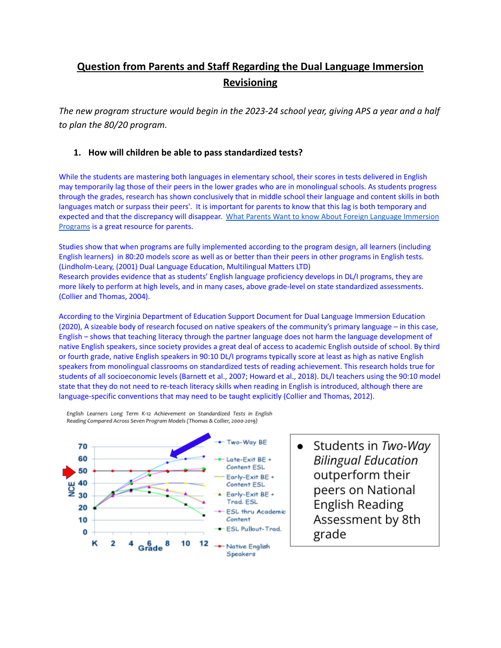# **Question from Parents and Staff Regarding the Dual Language Immersion Revisioning**

*The new program structure would begin in the 2023-24 school year, giving APS a year and a half to plan the 80/20 program.*

### **1. How will children be able to pass standardized tests?**

While the students are mastering both languages in elementary school, their scores in tests delivered in English may temporarily lag those of their peers in the lower grades who are in monolingual schools. As students progress through the grades, research has shown conclusively that in middle school their language and content skills in both languages match or surpass their peers'. It is important for parents to know that this lag is both temporary and expected and that the discrepancy will disappear. What Parents Want to know About Foreign Language [Immersion](https://globalvillageacademy.edliotest.com/Foreign%20Language/What_Parents_want_to_know_about_Immersion.pdf) [Programs](https://globalvillageacademy.edliotest.com/Foreign%20Language/What_Parents_want_to_know_about_Immersion.pdf) is a great resource for parents.

Studies show that when programs are fully implemented according to the program design, all learners (including English learners) in 80:20 models score as well as or better than their peers in other programs in English tests. (Lindholm-Leary, (2001) Dual Language Education, Multilingual Matters LTD) Research provides evidence that as students' English language proficiency develops in DL/I programs, they are more likely to perform at high levels, and in many cases, above grade-level on state standardized assessments. (Collier and Thomas, 2004).

According to the Virginia [Department](https://www.doe.virginia.gov/instruction/foreign_language/resources/dual-language-immersion-2020.pdf) of Education Support Document for Dual Language Immersion Education (2020), A sizeable body of research focused on native speakers of the community's primary language – in this case, English – shows that teaching literacy through the partner language does not harm the language development of native English speakers, since society provides a great deal of access to academic English outside of school. By third or fourth grade, native English speakers in 90:10 DL/I programs typically score at least as high as native English speakers from monolingual classrooms on standardized tests of reading achievement. This research holds true for students of all socioeconomic levels (Barnett et al., 2007; Howard et al., 2018). DL/I teachers using the 90:10 model state that they do not need to re-teach literacy skills when reading in English is introduced, although there are language-specific conventions that may need to be taught explicitly (Collier and Thomas, 2012).



English Learners Long Term K-12 Achievement on Standardized Tests in English Reading Compared Across Seven Program Models (Thomas & Collier, 2000-2019)

> Students in Two-Way **Bilingual Education** outperform their peers on National **English Reading** Assessment by 8th grade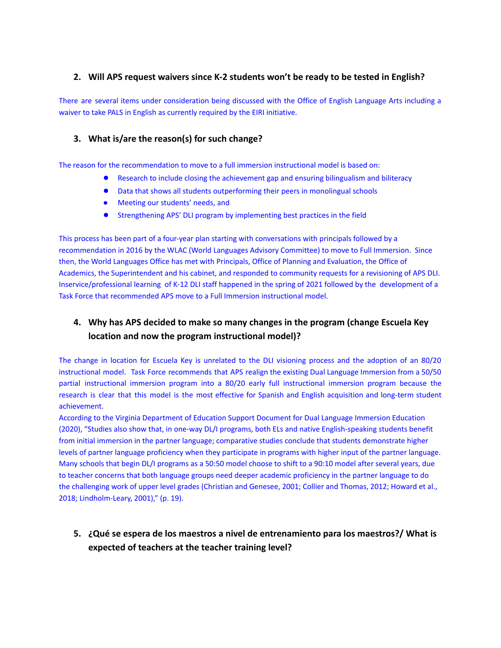### **2. Will APS request waivers since K-2 students won't be ready to be tested in English?**

There are several items under consideration being discussed with the Office of English Language Arts including a waiver to take PALS in English as currently required by the EIRI initiative.

### **3. What is/are the reason(s) for such change?**

The reason for the recommendation to move to a full immersion instructional model is based on:

- Research to include closing the achievement gap and ensuring bilingualism and biliteracy
- Data that shows all students outperforming their peers in monolingual schools
- Meeting our students' needs, and
- Strengthening APS' DLI program by implementing best practices in the field

This process has been part of a four-year plan starting with conversations with principals followed by a recommendation in 2016 by the WLAC (World Languages Advisory Committee) to move to Full Immersion. Since then, the World Languages Office has met with Principals, Office of Planning and Evaluation, the Office of Academics, the Superintendent and his cabinet, and responded to community requests for a revisioning of APS DLI. Inservice/professional learning of K-12 DLI staff happened in the spring of 2021 followed by the development of a Task Force that recommended APS move to a Full Immersion instructional model.

# **4. Why has APS decided to make so many changes in the program (change Escuela Key location and now the program instructional model)?**

The change in location for Escuela Key is unrelated to the DLI visioning process and the adoption of an 80/20 instructional model. Task Force recommends that APS realign the existing Dual Language Immersion from a 50/50 partial instructional immersion program into a 80/20 early full instructional immersion program because the research is clear that this model is the most effective for Spanish and English acquisition and long-term student achievement.

According to the Virginia Department of Education Support Document for Dual Language Immersion Education (2020), "Studies also show that, in one-way DL/I programs, both ELs and native English-speaking students benefit from initial immersion in the partner language; comparative studies conclude that students demonstrate higher levels of partner language proficiency when they participate in programs with higher input of the partner language. Many schools that begin DL/I programs as a 50:50 model choose to shift to a 90:10 model after several years, due to teacher concerns that both language groups need deeper academic proficiency in the partner language to do the challenging work of upper level grades (Christian and Genesee, 2001; Collier and Thomas, 2012; Howard et al., 2018; Lindholm-Leary, 2001)," (p. 19).

# **5. ¿Qué se espera de los maestros a nivel de entrenamiento para los maestros?/ What is expected of teachers at the teacher training level?**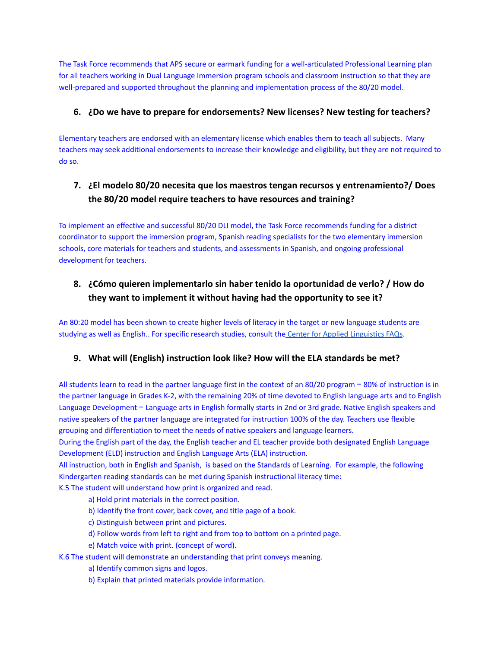The Task Force recommends that APS secure or earmark funding for a well-articulated Professional Learning plan for all teachers working in Dual Language Immersion program schools and classroom instruction so that they are well-prepared and supported throughout the planning and implementation process of the 80/20 model.

### **6. ¿Do we have to prepare for endorsements? New licenses? New testing for teachers?**

Elementary teachers are endorsed with an elementary license which enables them to teach all subjects. Many teachers may seek additional endorsements to increase their knowledge and eligibility, but they are not required to do so.

# **7. ¿El modelo 80/20 necesita que los maestros tengan recursos y entrenamiento?/ Does the 80/20 model require teachers to have resources and training?**

To implement an effective and successful 80/20 DLI model, the Task Force recommends funding for a district coordinator to support the immersion program, Spanish reading specialists for the two elementary immersion schools, core materials for teachers and students, and assessments in Spanish, and ongoing professional development for teachers.

# **8. ¿Cómo quieren implementarlo sin haber tenido la oportunidad de verlo? / How do they want to implement it without having had the opportunity to see it?**

An 80:20 model has been shown to create higher levels of literacy in the target or new language students are studying as well as English.. For specific research studies, consult the Center for Applied [Linguistics](https://www.cal.org/twi/) FAQs.

### **9. What will (English) instruction look like? How will the ELA standards be met?**

All students learn to read in the partner language first in the context of an 80/20 program − 80% of instruction is in the partner language in Grades K-2, with the remaining 20% of time devoted to English language arts and to English Language Development − Language arts in English formally starts in 2nd or 3rd grade. Native English speakers and native speakers of the partner language are integrated for instruction 100% of the day. Teachers use flexible grouping and differentiation to meet the needs of native speakers and language learners.

During the English part of the day, the English teacher and EL teacher provide both designated English Language Development (ELD) instruction and English Language Arts (ELA) instruction.

All instruction, both in English and Spanish, is based on the Standards of Learning. For example, the following Kindergarten reading standards can be met during Spanish instructional literacy time:

K.5 The student will understand how print is organized and read.

- a) Hold print materials in the correct position.
- b) Identify the front cover, back cover, and title page of a book.
- c) Distinguish between print and pictures.
- d) Follow words from left to right and from top to bottom on a printed page.
- e) Match voice with print. (concept of word).
- K.6 The student will demonstrate an understanding that print conveys meaning.
	- a) Identify common signs and logos.
	- b) Explain that printed materials provide information.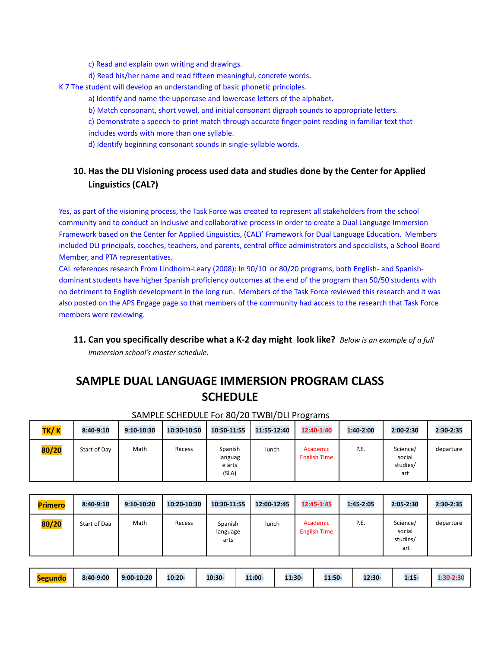c) Read and explain own writing and drawings.

d) Read his/her name and read fifteen meaningful, concrete words.

K.7 The student will develop an understanding of basic phonetic principles.

- a) Identify and name the uppercase and lowercase letters of the alphabet.
- b) Match consonant, short vowel, and initial consonant digraph sounds to appropriate letters.
- c) Demonstrate a speech-to-print match through accurate finger-point reading in familiar text that includes words with more than one syllable.

d) Identify beginning consonant sounds in single-syllable words.

# **10. Has the DLI Visioning process used data and studies done by the Center for Applied Linguistics (CAL?)**

Yes, as part of the visioning process, the Task Force was created to represent all stakeholders from the school community and to conduct an inclusive and collaborative process in order to create a Dual Language Immersion Framework based on the Center for Applied Linguistics, (CAL)' Framework for Dual Language Education. Members included DLI principals, coaches, teachers, and parents, central office administrators and specialists, a School Board Member, and PTA representatives.

CAL references research From Lindholm-Leary (2008): In 90/10 or 80/20 programs, both English- and Spanishdominant students have higher Spanish proficiency outcomes at the end of the program than 50/50 students with no detriment to English development in the long run. Members of the Task Force reviewed this research and it was also posted on the APS Engage page so that members of the community had access to the research that Task Force members were reviewing.

**11. Can you specifically describe what a K-2 day might look like?** *Below is an example of a full immersion school's master schedule.*

# **SAMPLE DUAL LANGUAGE IMMERSION PROGRAM CLASS SCHEDULE**

| TK/K  | 8:40-9:10    | 9:10-10:30 | 10:30-10:50 | 10:50-11:55                           | 11:55-12:40 | 12:40-1:40                      | 1:40-2:00 | 2:00-2:30                             | 2:30-2:35 |
|-------|--------------|------------|-------------|---------------------------------------|-------------|---------------------------------|-----------|---------------------------------------|-----------|
| 80/20 | Start of Day | Math       | Recess      | Spanish<br>languag<br>e arts<br>(SLA) | lunch       | Academic<br><b>English Time</b> | P.E.      | Science/<br>social<br>studies/<br>art | departure |

#### SAMPLE SCHEDULE For 80/20 TWBI/DLI Programs

| <b>Primero</b> | 8:40-9:10    | 9:10-10:20 | 10:20-10:30 | 10:30-11:55                 | 12:00-12:45 | 12:45-1:45                      | 1:45-2:05 | 2:05-2:30                             | 2:30-2:35 |
|----------------|--------------|------------|-------------|-----------------------------|-------------|---------------------------------|-----------|---------------------------------------|-----------|
| 80/20          | Start of Daa | Math       | Recess      | Spanish<br>language<br>arts | lunch       | Academic<br><b>English Time</b> | P.E.      | Science/<br>social<br>studies/<br>art | departure |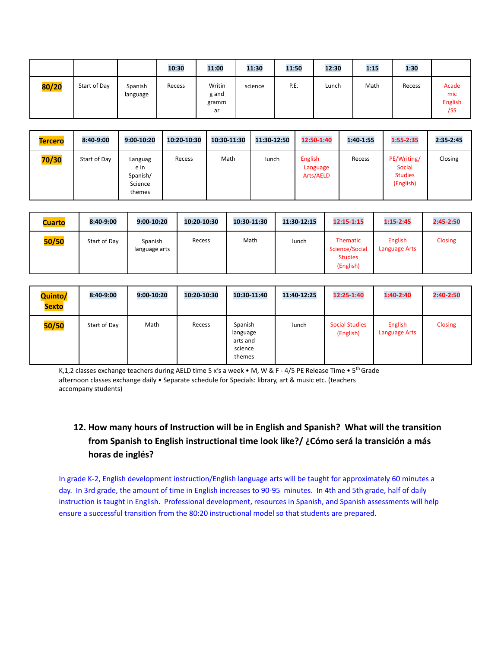|       |              |                     | 10:30  | 11:00                          | 11:30   | 11:50 | 12:30 | 1:15 | 1:30   |                                       |
|-------|--------------|---------------------|--------|--------------------------------|---------|-------|-------|------|--------|---------------------------------------|
| 80/20 | Start of Day | Spanish<br>language | Recess | Writin<br>g and<br>gramm<br>ar | science | P.E.  | Lunch | Math | Recess | Acade<br>mic<br><b>English</b><br>/SS |

| <b>Tercero</b> | 8:40-9:00    | 9:00-10:20                                       | 10:20-10:30 | 10:30-11:30 | 11:30-12:50 | 12:50-1:40                              | 1:40-1:55 | 1:55-2:35                                            | 2:35-2:45 |
|----------------|--------------|--------------------------------------------------|-------------|-------------|-------------|-----------------------------------------|-----------|------------------------------------------------------|-----------|
| 70/30          | Start of Day | Languag<br>e in<br>Spanish/<br>Science<br>themes | Recess      | Math        | lunch       | <b>English</b><br>Language<br>Arts/AELD | Recess    | PE/Writing/<br>Social<br><b>Studies</b><br>(English) | Closing   |

| <b>Cuarto</b> | 8:40-9:00    | 9:00-10:20               | 10:20-10:30 | 10:30-11:30 | 11:30-12:15 | 12:15-1:15                                                       | $1:15 - 2:45$            | 2:45-2:50 |
|---------------|--------------|--------------------------|-------------|-------------|-------------|------------------------------------------------------------------|--------------------------|-----------|
| 50/50         | Start of Day | Spanish<br>language arts | Recess      | Math        | lunch       | <b>Thematic</b><br>Science/Social<br><b>Studies</b><br>(English) | English<br>Language Arts | Closing   |

| Quinto/<br><b>Sexto</b> | 8:40-9:00    | 9:00-10:20 | 10:20-10:30 | 10:30-11:40                                          | 11:40-12:25 | 12:25-1:40                         | 1:40-2:40                | 2:40-2:50      |
|-------------------------|--------------|------------|-------------|------------------------------------------------------|-------------|------------------------------------|--------------------------|----------------|
| 50/50                   | Start of Day | Math       | Recess      | Spanish<br>language<br>arts and<br>science<br>themes | lunch       | <b>Social Studies</b><br>(English) | English<br>Language Arts | <b>Closing</b> |

K, 1, 2 classes exchange teachers during AELD time 5 x's a week • M, W & F - 4/5 PE Release Time • 5<sup>th</sup> Grade afternoon classes exchange daily • Separate schedule for Specials: library, art & music etc. (teachers accompany students)

# **12. How many hours of Instruction will be in English and Spanish? What will the transition from Spanish to English instructional time look like?/ ¿Cómo será la transición a más horas de inglés?**

In grade K-2, English development instruction/English language arts will be taught for approximately 60 minutes a day. In 3rd grade, the amount of time in English increases to 90-95 minutes. In 4th and 5th grade, half of daily instruction is taught in English. Professional development, resources in Spanish, and Spanish assessments will help ensure a successful transition from the 80:20 instructional model so that students are prepared.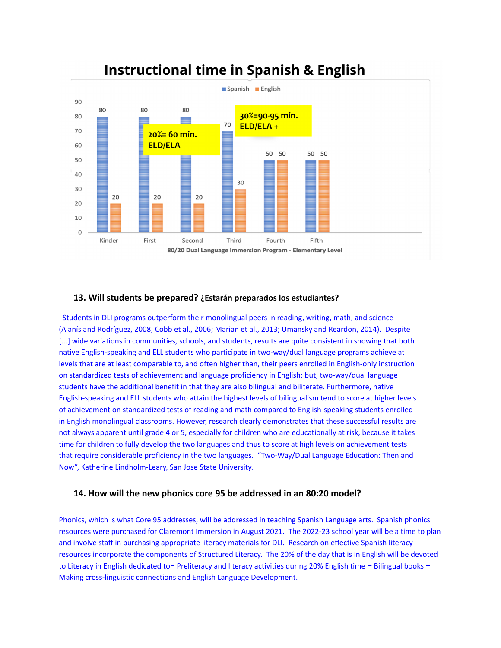

# **Instructional time in Spanish & English**

#### **13. Will students be prepared? ¿Estarán preparados los estudiantes?**

Students in DLI programs outperform their monolingual peers in reading, writing, math, and science (Alanís and Rodríguez, 2008; Cobb et al., 2006; Marian et al., 2013; Umansky and Reardon, 2014). Despite [...] wide variations in communities, schools, and students, results are quite consistent in showing that both native English-speaking and ELL students who participate in two-way/dual language programs achieve at levels that are at least comparable to, and often higher than, their peers enrolled in English-only instruction on standardized tests of achievement and language proficiency in English; but, two-way/dual language students have the additional benefit in that they are also bilingual and biliterate. Furthermore, native English-speaking and ELL students who attain the highest levels of bilingualism tend to score at higher levels of achievement on standardized tests of reading and math compared to English-speaking students enrolled in English monolingual classrooms. However, research clearly demonstrates that these successful results are not always apparent until grade 4 or 5, especially for children who are educationally at risk, because it takes time for children to fully develop the two languages and thus to score at high levels on achievement tests that require considerable proficiency in the two languages. "Two-Way/Dual Language Education: Then and Now", Katherine Lindholm-Leary, San Jose State University.

#### **14. How will the new phonics core 95 be addressed in an 80:20 model?**

Phonics, which is what Core 95 addresses, will be addressed in teaching Spanish Language arts. Spanish phonics resources were purchased for Claremont Immersion in August 2021. The 2022-23 school year will be a time to plan and involve staff in purchasing appropriate literacy materials for DLI. Research on effective Spanish literacy resources incorporate the components of Structured Literacy. The 20% of the day that is in English will be devoted to Literacy in English dedicated to− Preliteracy and literacy activities during 20% English time − Bilingual books − Making cross-linguistic connections and English Language Development.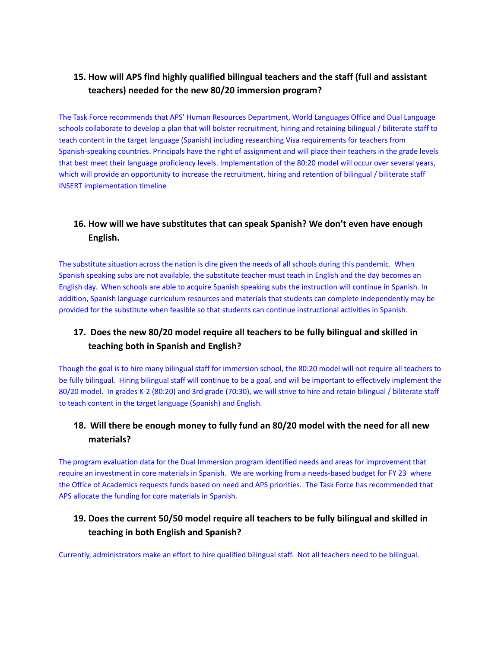# **15. How will APS find highly qualified bilingual teachers and the staff (full and assistant teachers) needed for the new 80/20 immersion program?**

The Task Force recommends that APS' Human Resources Department, World Languages Office and Dual Language schools collaborate to develop a plan that will bolster recruitment, hiring and retaining bilingual / biliterate staff to teach content in the target language (Spanish) including researching Visa requirements for teachers from Spanish-speaking countries. Principals have the right of assignment and will place their teachers in the grade levels that best meet their language proficiency levels. Implementation of the 80:20 model will occur over several years, which will provide an opportunity to increase the recruitment, hiring and retention of bilingual / biliterate staff INSERT implementation timeline

# **16. How will we have substitutes that can speak Spanish? We don't even have enough English.**

The substitute situation across the nation is dire given the needs of all schools during this pandemic. When Spanish speaking subs are not available, the substitute teacher must teach in English and the day becomes an English day. When schools are able to acquire Spanish speaking subs the instruction will continue in Spanish. In addition, Spanish language curriculum resources and materials that students can complete independently may be provided for the substitute when feasible so that students can continue instructional activities in Spanish.

# **17. Does the new 80/20 model require all teachers to be fully bilingual and skilled in teaching both in Spanish and English?**

Though the goal is to hire many bilingual staff for immersion school, the 80:20 model will not require all teachers to be fully bilingual. Hiring bilingual staff will continue to be a goal, and will be important to effectively implement the 80/20 model. In grades K-2 (80:20) and 3rd grade (70:30), we will strive to hire and retain bilingual / biliterate staff to teach content in the target language (Spanish) and English.

# **18. Will there be enough money to fully fund an 80/20 model with the need for all new materials?**

The program evaluation data for the Dual Immersion program identified needs and areas for improvement that require an investment in core materials in Spanish. We are working from a needs-based budget for FY 23 where the Office of Academics requests funds based on need and APS priorities. The Task Force has recommended that APS allocate the funding for core materials in Spanish.

# **19. Does the current 50/50 model require all teachers to be fully bilingual and skilled in teaching in both English and Spanish?**

Currently, administrators make an effort to hire qualified bilingual staff. Not all teachers need to be bilingual.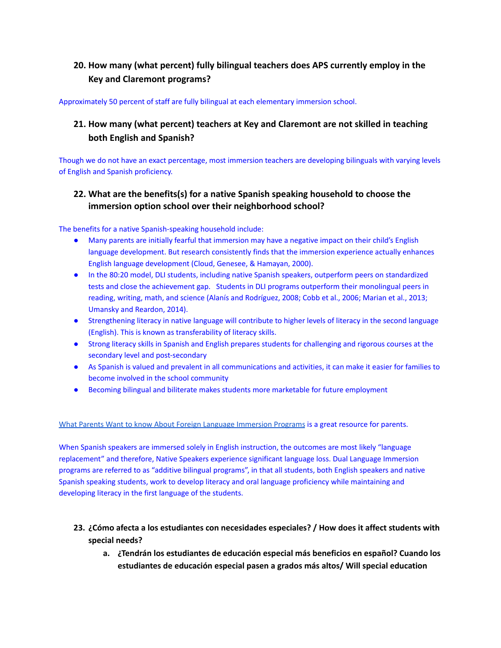# **20. How many (what percent) fully bilingual teachers does APS currently employ in the Key and Claremont programs?**

Approximately 50 percent of staff are fully bilingual at each elementary immersion school.

# **21. How many (what percent) teachers at Key and Claremont are not skilled in teaching both English and Spanish?**

Though we do not have an exact percentage, most immersion teachers are developing bilinguals with varying levels of English and Spanish proficiency.

# **22. What are the benefits(s) for a native Spanish speaking household to choose the immersion option school over their neighborhood school?**

The benefits for a native Spanish-speaking household include:

- Many parents are initially fearful that immersion may have a negative impact on their child's English language development. But research consistently finds that the immersion experience actually enhances English language development (Cloud, Genesee, & Hamayan, 2000).
- In the 80:20 model, DLI students, including native Spanish speakers, outperform peers on standardized tests and close the achievement gap. Students in DLI programs outperform their monolingual peers in reading, writing, math, and science (Alanís and Rodríguez, 2008; Cobb et al., 2006; Marian et al., 2013; Umansky and Reardon, 2014).
- Strengthening literacy in native language will contribute to higher levels of literacy in the second language (English). This is known as transferability of literacy skills.
- Strong literacy skills in Spanish and English prepares students for challenging and rigorous courses at the secondary level and post-secondary
- As Spanish is valued and prevalent in all communications and activities, it can make it easier for families to become involved in the school community
- Becoming bilingual and biliterate makes students more marketable for future employment

#### What Parents Want to know About Foreign Language [Immersion](https://globalvillageacademy.edliotest.com/Foreign%20Language/What_Parents_want_to_know_about_Immersion.pdf) Programs is a great resource for parents.

When Spanish speakers are immersed solely in English instruction, the outcomes are most likely "language replacement" and therefore, Native Speakers experience significant language loss. Dual Language Immersion programs are referred to as "additive bilingual programs", in that all students, both English speakers and native Spanish speaking students, work to develop literacy and oral language proficiency while maintaining and developing literacy in the first language of the students.

## **23. ¿Cómo afecta a los estudiantes con necesidades especiales? / How does it affect students with special needs?**

**a. ¿Tendrán los estudiantes de educación especial más beneficios en español? Cuando los estudiantes de educación especial pasen a grados más altos/ Will special education**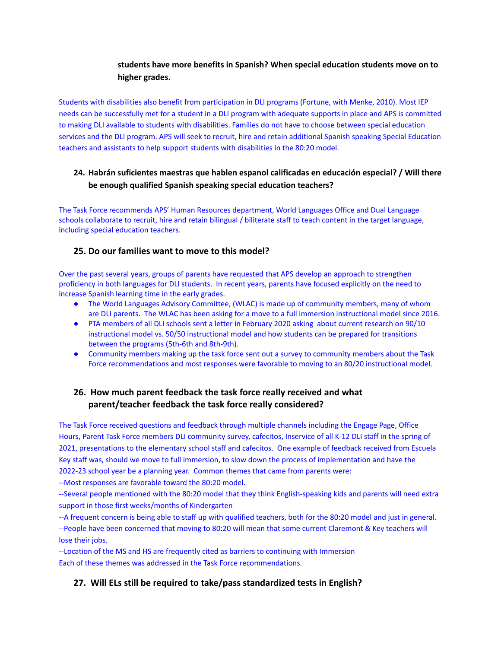## **students have more benefits in Spanish? When special education students move on to higher grades.**

Students with disabilities also benefit from participation in DLI programs (Fortune, with Menke, 2010). Most IEP needs can be successfully met for a student in a DLI program with adequate supports in place and APS is committed to making DLI available to students with disabilities. Families do not have to choose between special education services and the DLI program. APS will seek to recruit, hire and retain additional Spanish speaking Special Education teachers and assistants to help support students with disabilities in the 80:20 model.

# **24. Habrán suficientes maestras que hablen espanol calificadas en educación especial? / Will there be enough qualified Spanish speaking special education teachers?**

The Task Force recommends APS' Human Resources department, World Languages Office and Dual Language schools collaborate to recruit, hire and retain bilingual / biliterate staff to teach content in the target language, including special education teachers.

### **25. Do our families want to move to this model?**

Over the past several years, groups of parents have requested that APS develop an approach to strengthen proficiency in both languages for DLI students. In recent years, parents have focused explicitly on the need to increase Spanish learning time in the early grades.

- The World Languages Advisory Committee, (WLAC) is made up of community members, many of whom are DLI parents. The WLAC has been asking for a move to a full immersion instructional model since 2016.
- PTA members of all DLI schools sent a letter in February 2020 asking about current research on 90/10 instructional model vs. 50/50 instructional model and how students can be prepared for transitions between the programs (5th-6th and 8th-9th).
- Community members making up the task force sent out a survey to community members about the Task Force recommendations and most responses were favorable to moving to an 80/20 instructional model.

# **26. How much parent feedback the task force really received and what parent/teacher feedback the task force really considered?**

The Task Force received questions and feedback through multiple channels including the Engage Page, Office Hours, Parent Task Force members DLI community survey, cafecitos, Inservice of all K-12 DLI staff in the spring of 2021, presentations to the elementary school staff and cafecitos. One example of feedback received from Escuela Key staff was, should we move to full immersion, to slow down the process of implementation and have the 2022-23 school year be a planning year. Common themes that came from parents were: --Most responses are favorable toward the 80:20 model.

--Several people mentioned with the 80:20 model that they think English-speaking kids and parents will need extra support in those first weeks/months of Kindergarten

--A frequent concern is being able to staff up with qualified teachers, both for the 80:20 model and just in general. --People have been concerned that moving to 80:20 will mean that some current Claremont & Key teachers will lose their jobs.

--Location of the MS and HS are frequently cited as barriers to continuing with Immersion Each of these themes was addressed in the Task Force recommendations.

# **27. Will ELs still be required to take/pass standardized tests in English?**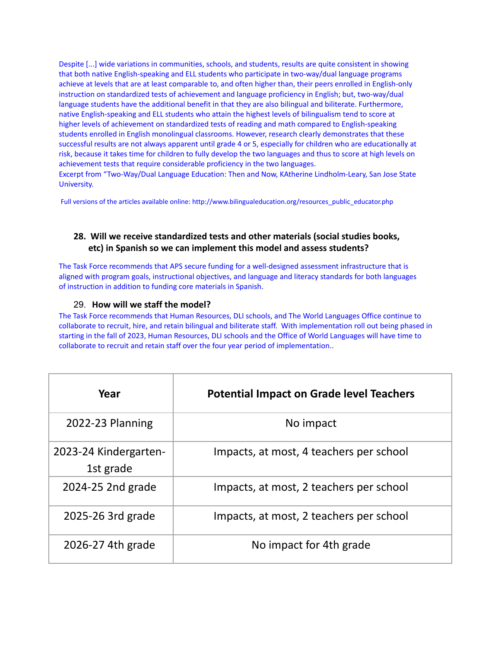Despite [...] wide variations in communities, schools, and students, results are quite consistent in showing that both native English-speaking and ELL students who participate in two-way/dual language programs achieve at levels that are at least comparable to, and often higher than, their peers enrolled in English-only instruction on standardized tests of achievement and language proficiency in English; but, two-way/dual language students have the additional benefit in that they are also bilingual and biliterate. Furthermore, native English-speaking and ELL students who attain the highest levels of bilingualism tend to score at higher levels of achievement on standardized tests of reading and math compared to English-speaking students enrolled in English monolingual classrooms. However, research clearly demonstrates that these successful results are not always apparent until grade 4 or 5, especially for children who are educationally at risk, because it takes time for children to fully develop the two languages and thus to score at high levels on achievement tests that require considerable proficiency in the two languages. Excerpt from "Two-Way/Dual Language Education: Then and Now, KAtherine Lindholm-Leary, San Jose State

Full versions of the articles available online: http://www.bilingualeducation.org/resources\_public\_educator.php

# **28. Will we receive standardized tests and other materials (social studies books, etc) in Spanish so we can implement this model and assess students?**

The Task Force recommends that APS secure funding for a well-designed assessment infrastructure that is aligned with program goals, instructional objectives, and language and literacy standards for both languages of instruction in addition to funding core materials in Spanish.

#### 29. **How will we staff the model?**

University.

The Task Force recommends that Human Resources, DLI schools, and The World Languages Office continue to collaborate to recruit, hire, and retain bilingual and biliterate staff. With implementation roll out being phased in starting in the fall of 2023, Human Resources, DLI schools and the Office of World Languages will have time to collaborate to recruit and retain staff over the four year period of implementation..

| Year                               | <b>Potential Impact on Grade level Teachers</b> |
|------------------------------------|-------------------------------------------------|
| 2022-23 Planning                   | No impact                                       |
| 2023-24 Kindergarten-<br>1st grade | Impacts, at most, 4 teachers per school         |
| 2024-25 2nd grade                  | Impacts, at most, 2 teachers per school         |
| 2025-26 3rd grade                  | Impacts, at most, 2 teachers per school         |
| 2026-27 4th grade                  | No impact for 4th grade                         |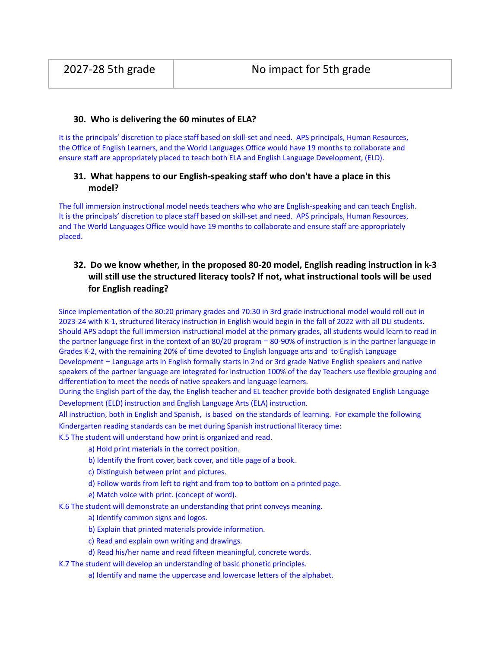#### **30. Who is delivering the 60 minutes of ELA?**

It is the principals' discretion to place staff based on skill-set and need. APS principals, Human Resources, the Office of English Learners, and the World Languages Office would have 19 months to collaborate and ensure staff are appropriately placed to teach both ELA and English Language Development, (ELD).

### **31. What happens to our English-speaking staff who don't have a place in this model?**

The full immersion instructional model needs teachers who who are English-speaking and can teach English. It is the principals' discretion to place staff based on skill-set and need. APS principals, Human Resources, and The World Languages Office would have 19 months to collaborate and ensure staff are appropriately placed.

# **32. Do we know whether, in the proposed 80-20 model, English reading instruction in k-3 will still use the structured literacy tools? If not, what instructional tools will be used for English reading?**

Since implementation of the 80:20 primary grades and 70:30 in 3rd grade instructional model would roll out in 2023-24 with K-1, structured literacy instruction in English would begin in the fall of 2022 with all DLI students. Should APS adopt the full immersion instructional model at the primary grades, all students would learn to read in the partner language first in the context of an 80/20 program − 80-90% of instruction is in the partner language in Grades K-2, with the remaining 20% of time devoted to English language arts and to English Language Development − Language arts in English formally starts in 2nd or 3rd grade Native English speakers and native speakers of the partner language are integrated for instruction 100% of the day Teachers use flexible grouping and differentiation to meet the needs of native speakers and language learners.

During the English part of the day, the English teacher and EL teacher provide both designated English Language Development (ELD) instruction and English Language Arts (ELA) instruction.

All instruction, both in English and Spanish, is based on the standards of learning. For example the following Kindergarten reading standards can be met during Spanish instructional literacy time:

K.5 The student will understand how print is organized and read.

- a) Hold print materials in the correct position.
- b) Identify the front cover, back cover, and title page of a book.
- c) Distinguish between print and pictures.
- d) Follow words from left to right and from top to bottom on a printed page.
- e) Match voice with print. (concept of word).

K.6 The student will demonstrate an understanding that print conveys meaning.

- a) Identify common signs and logos.
- b) Explain that printed materials provide information.
- c) Read and explain own writing and drawings.
- d) Read his/her name and read fifteen meaningful, concrete words.
- K.7 The student will develop an understanding of basic phonetic principles.
	- a) Identify and name the uppercase and lowercase letters of the alphabet.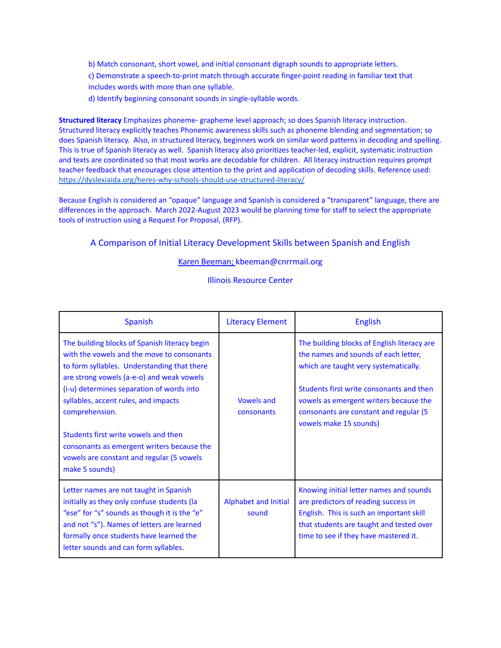- b) Match consonant, short vowel, and initial consonant digraph sounds to appropriate letters.
- c) Demonstrate a speech-to-print match through accurate finger-point reading in familiar text that includes words with more than one syllable.
- d) Identify beginning consonant sounds in single-syllable words.

**Structured literacy** Emphasizes phoneme- grapheme level approach; so does Spanish literacy instruction. Structured literacy explicitly teaches Phonemic awareness skills such as phoneme blending and segmentation; so does Spanish literacy. Also, in structured literacy, beginners work on similar word patterns in decoding and spelling. This is true of Spanish literacy as well. Spanish literacy also prioritizes teacher-led, explicit, systematic instruction and texts are coordinated so that most works are decodable for children. All literacy instruction requires prompt teacher feedback that encourages close attention to the print and application of decoding skills. Reference used: <https://dyslexiaida.org/heres-why-schools-should-use-structured-literacy/>

Because English is considered an "opaque" language and Spanish is considered a "transparent" language, there are differences in the approach. March 2022-August 2023 would be planning time for staff to select the appropriate tools of instruction using a Request For Proposal, (RFP).

### A Comparison of Initial Literacy Development Skills between Spanish and English

#### Karen Beeman; kbeeman@cnrrmail.org

Illinois Resource Center

| Spanish                                                                                                                                                                                                                                                                                                                                                                                                                                             | <b>Literacy Element</b>              | <b>English</b>                                                                                                                                                                                                                                                                         |
|-----------------------------------------------------------------------------------------------------------------------------------------------------------------------------------------------------------------------------------------------------------------------------------------------------------------------------------------------------------------------------------------------------------------------------------------------------|--------------------------------------|----------------------------------------------------------------------------------------------------------------------------------------------------------------------------------------------------------------------------------------------------------------------------------------|
| The building blocks of Spanish literacy begin<br>with the vowels and the move to consonants<br>to form syllables. Understanding that there<br>are strong vowels (a-e-o) and weak vowels<br>(i-u) determines separation of words into<br>syllables, accent rules, and impacts<br>comprehension.<br>Students first write vowels and then<br>consonants as emergent writers because the<br>vowels are constant and regular (5 vowels<br>make 5 sounds) | <b>Vowels and</b><br>consonants      | The building blocks of English literacy are<br>the names and sounds of each letter,<br>which are taught very systematically.<br>Students first write consonants and then<br>vowels as emergent writers because the<br>consonants are constant and regular (5<br>vowels make 15 sounds) |
| Letter names are not taught in Spanish<br>initially as they only confuse students (la<br>"ese" for "s" sounds as though it is the "e"<br>and not "s"). Names of letters are learned<br>formally once students have learned the<br>letter sounds and can form syllables.                                                                                                                                                                             | <b>Alphabet and Initial</b><br>sound | Knowing initial letter names and sounds<br>are predictors of reading success in<br>English. This is such an important skill<br>that students are taught and tested over<br>time to see if they have mastered it.                                                                       |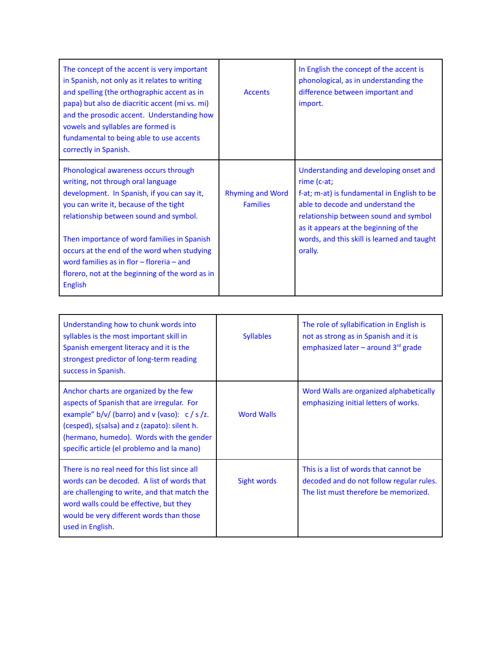| The concept of the accent is very important<br>in Spanish, not only as it relates to writing<br>and spelling (the orthographic accent as in<br>papa) but also de diacritic accent (mi vs. mi)<br>and the prosodic accent. Understanding how<br>vowels and syllables are formed is<br>fundamental to being able to use accents<br>correctly in Spanish.                                                                      | <b>Accents</b>                             | In English the concept of the accent is<br>phonological, as in understanding the<br>difference between important and<br>import.                                                                                                                                                       |
|-----------------------------------------------------------------------------------------------------------------------------------------------------------------------------------------------------------------------------------------------------------------------------------------------------------------------------------------------------------------------------------------------------------------------------|--------------------------------------------|---------------------------------------------------------------------------------------------------------------------------------------------------------------------------------------------------------------------------------------------------------------------------------------|
| Phonological awareness occurs through<br>writing, not through oral language<br>development. In Spanish, if you can say it,<br>you can write it, because of the tight<br>relationship between sound and symbol.<br>Then importance of word families in Spanish<br>occurs at the end of the word when studying<br>word families as in flor $-$ floreria $-$ and<br>florero, not at the beginning of the word as in<br>English | <b>Rhyming and Word</b><br><b>Families</b> | Understanding and developing onset and<br>rime (c-at;<br>f-at; m-at) is fundamental in English to be<br>able to decode and understand the<br>relationship between sound and symbol<br>as it appears at the beginning of the<br>words, and this skill is learned and taught<br>orally. |

| Understanding how to chunk words into<br>syllables is the most important skill in<br>Spanish emergent literacy and it is the<br>strongest predictor of long-term reading<br>success in Spanish.                                                                                     | <b>Syllables</b>  | The role of syllabification in English is<br>not as strong as in Spanish and it is<br>emphasized later – around $3^{rd}$ grade |
|-------------------------------------------------------------------------------------------------------------------------------------------------------------------------------------------------------------------------------------------------------------------------------------|-------------------|--------------------------------------------------------------------------------------------------------------------------------|
| Anchor charts are organized by the few<br>aspects of Spanish that are irregular. For<br>example" $b/v/$ (barro) and v (vaso): $c/ s/ z$ .<br>(cesped), s(salsa) and z (zapato): silent h.<br>(hermano, humedo). Words with the gender<br>specific article (el problemo and la mano) | <b>Word Walls</b> | Word Walls are organized alphabetically<br>emphasizing initial letters of works.                                               |
| There is no real need for this list since all<br>words can be decoded. A list of words that<br>are challenging to write, and that match the<br>word walls could be effective, but they<br>would be very different words than those<br>used in English.                              | Sight words       | This is a list of words that cannot be<br>decoded and do not follow regular rules.<br>The list must therefore be memorized.    |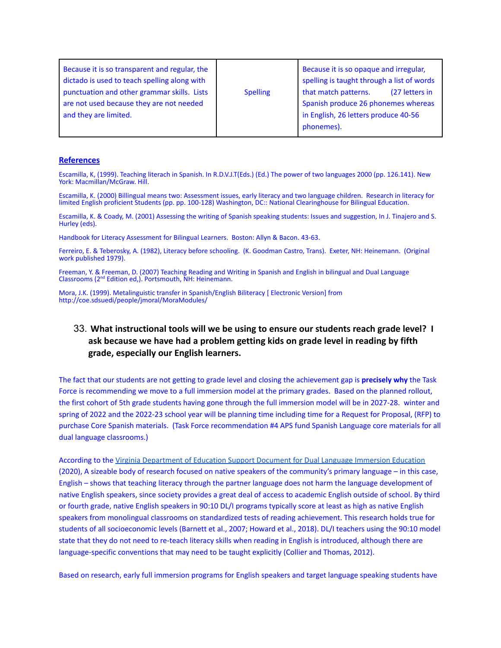#### **References**

Escamilla, K, (1999). Teaching literach in Spanish. In R.D.V.J.T(Eds.) (Ed.) The power of two languages 2000 (pp. 126.141). New York: Macmillan/McGraw. Hill.

Escamilla, K. (2000) Billingual means two: Assessment issues, early literacy and two language children. Research in literacy for limited English proficient Students (pp. pp. 100-128) Washington, DC:: National Clearinghouse for Bilingual Education.

Escamilla, K. & Coady, M. (2001) Assessing the writing of Spanish speaking students: Issues and suggestion, In J. Tinajero and S. Hurley (eds).

Handbook for Literacy Assessment for Bilingual Learners. Boston: Allyn & Bacon. 43-63.

Ferreiro, E. & Teberosky, A. (1982), Literacy before schooling. (K. Goodman Castro, Trans). Exeter, NH: Heinemann. (Original work published 1979).

Freeman, Y. & Freeman, D. (2007) Teaching Reading and Writing in Spanish and English in bilingual and Dual Language Classrooms (2nd Edition ed,). Portsmouth, NH: Heinemann.

Mora, J.K. (1999). Metalinguistic transfer in Spanish/English Biliteracy [ Electronic Version] from http://coe.sdsuedi/people/jmoral/MoraModules/

# 33. **What instructional tools will we be using to ensure our students reach grade level? I ask because we have had a problem getting kids on grade level in reading by fifth grade, especially our English learners.**

The fact that our students are not getting to grade level and closing the achievement gap is **precisely why** the Task Force is recommending we move to a full immersion model at the primary grades. Based on the planned rollout, the first cohort of 5th grade students having gone through the full immersion model will be in 2027-28. winter and spring of 2022 and the 2022-23 school year will be planning time including time for a Request for Proposal, (RFP) to purchase Core Spanish materials. (Task Force recommendation #4 APS fund Spanish Language core materials for all dual language classrooms.)

According to the Virginia [Department](https://www.doe.virginia.gov/instruction/foreign_language/resources/dual-language-immersion-2020.pdf) of Education Support Document for Dual Language Immersion Education (2020), A sizeable body of research focused on native speakers of the community's primary language – in this case, English – shows that teaching literacy through the partner language does not harm the language development of native English speakers, since society provides a great deal of access to academic English outside of school. By third or fourth grade, native English speakers in 90:10 DL/I programs typically score at least as high as native English speakers from monolingual classrooms on standardized tests of reading achievement. This research holds true for students of all socioeconomic levels (Barnett et al., 2007; Howard et al., 2018). DL/I teachers using the 90:10 model state that they do not need to re-teach literacy skills when reading in English is introduced, although there are language-specific conventions that may need to be taught explicitly (Collier and Thomas, 2012).

Based on research, early full immersion programs for English speakers and target language speaking students have